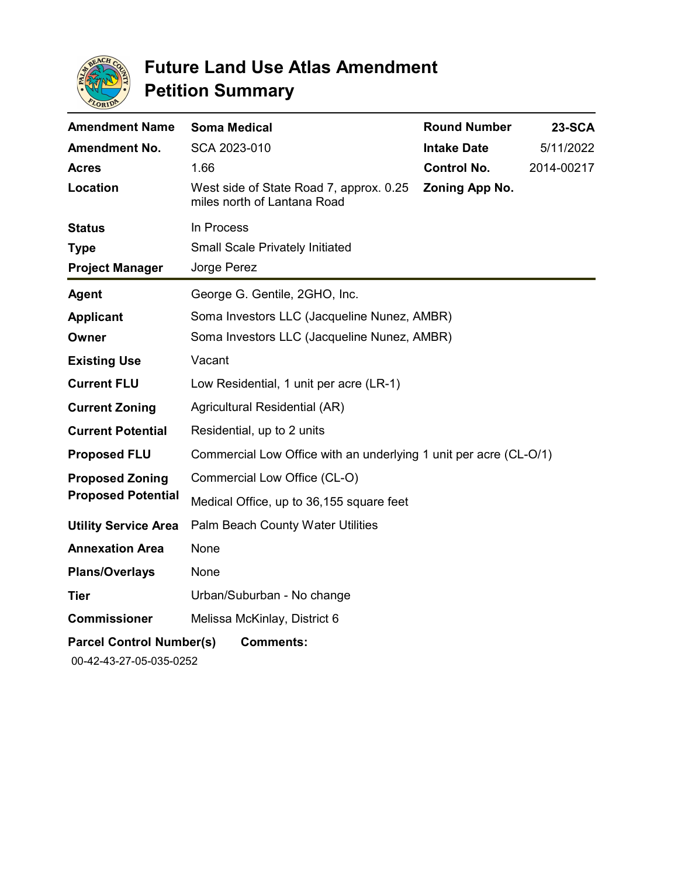

| <b>Amendment Name</b>           | <b>Soma Medical</b>                                                    | <b>Round Number</b> | <b>23-SCA</b> |
|---------------------------------|------------------------------------------------------------------------|---------------------|---------------|
| <b>Amendment No.</b>            | SCA 2023-010                                                           | <b>Intake Date</b>  | 5/11/2022     |
| <b>Acres</b>                    | 1.66                                                                   | <b>Control No.</b>  | 2014-00217    |
| Location                        | West side of State Road 7, approx. 0.25<br>miles north of Lantana Road | Zoning App No.      |               |
| <b>Status</b>                   | In Process                                                             |                     |               |
| <b>Type</b>                     | <b>Small Scale Privately Initiated</b>                                 |                     |               |
| <b>Project Manager</b>          | Jorge Perez                                                            |                     |               |
| <b>Agent</b>                    | George G. Gentile, 2GHO, Inc.                                          |                     |               |
| <b>Applicant</b>                | Soma Investors LLC (Jacqueline Nunez, AMBR)                            |                     |               |
| Owner                           | Soma Investors LLC (Jacqueline Nunez, AMBR)                            |                     |               |
| <b>Existing Use</b>             | Vacant                                                                 |                     |               |
| <b>Current FLU</b>              | Low Residential, 1 unit per acre (LR-1)                                |                     |               |
| <b>Current Zoning</b>           | Agricultural Residential (AR)                                          |                     |               |
| <b>Current Potential</b>        | Residential, up to 2 units                                             |                     |               |
| <b>Proposed FLU</b>             | Commercial Low Office with an underlying 1 unit per acre (CL-O/1)      |                     |               |
| <b>Proposed Zoning</b>          | Commercial Low Office (CL-O)                                           |                     |               |
| <b>Proposed Potential</b>       | Medical Office, up to 36,155 square feet                               |                     |               |
| <b>Utility Service Area</b>     | Palm Beach County Water Utilities                                      |                     |               |
| <b>Annexation Area</b>          | None                                                                   |                     |               |
| <b>Plans/Overlays</b>           | None                                                                   |                     |               |
| <b>Tier</b>                     | Urban/Suburban - No change                                             |                     |               |
| <b>Commissioner</b>             | Melissa McKinlay, District 6                                           |                     |               |
| <b>Parcel Control Number(s)</b> | <b>Comments:</b>                                                       |                     |               |
| 00-42-43-27-05-035-0252         |                                                                        |                     |               |